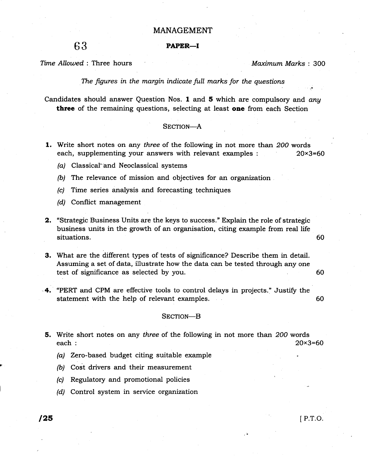### MANAGEMENT

# 63 **PAPER—I**

Time Allowed : Three hours

Maximum Marks : 300

..,

The figures in the margin indicate full marks for the questions

Candidates should answer Question Nos. 1 and 5 which are compulsory and any three of the remaining questions, selecting at least one from each Section

### SECTION-A

- 1. Write short notes on any three of the following in not more than 200 words each, supplementing your answers with relevant examples : 20×3=60
	- (a) Classical-and Neoclassical systems
	- (b) The relevance of mission and objectives for an organization
	- (c) Time series analysis and forecasting techniques
	- (d) Conflict management
- 2. "Strategic Business Units are the keys to success." Explain the role of strategic business units in the growth of an organisation, citing example from real life situations. 60

60 3. What are the different types of tests of significance? Describe them in detail. Assuming a set of data, illustrate how the data can be tested through any one test of significance as selected by you.

-4. "PERT and CPM are effective tools to control delays in projects." Justify the statement with the help of relevant examples. A statement with the help of relevant examples. 60

### SECTION-B

- **5.** Write short notes on any three of the following in not more than 200 words each :  $20 \times 3 = 60$ 
	- (a) Zero-based budget citing suitable example
	- (b) Cost drivers and their measurement
	- (c) Regulatory and promotional policies
	- (d) Control system in service organization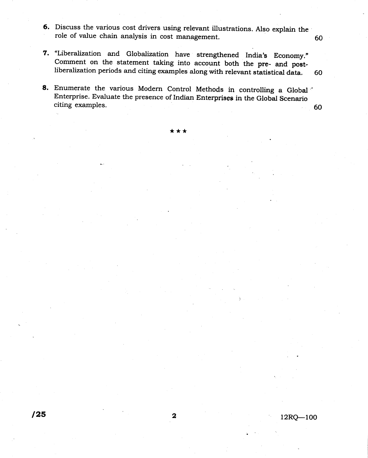- 6. Discuss the various cost drivers using relevant illustrations. Also explain the role of value chain analysis in cost management.
- 7. "Liberalization and Globalization have strengthened India's Economy." comment on the statement taking into account both the pre- and postliberalization periods and citing examples along with relevant statistical data. 60
- 8. Enumerate the various Modern Control Methods in controlling a Global Enterprise. Evaluate the presence of Indian Enterprises in the Global Scenario citing examples. 60

60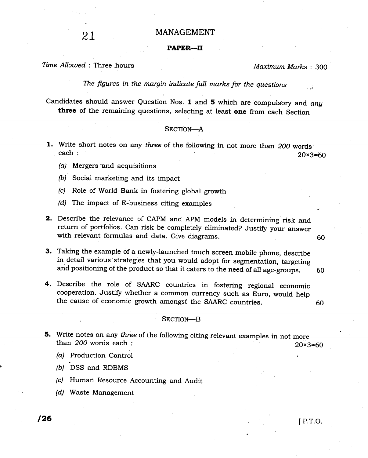### PAPER-II

## Time Allowed: Three hours and the matter of the Maximum Marks : 300

The figures in the margin indicate full marks for the questions

Candidates should answer Question Nos. 1 and 5 which are compulsory and any three of the remaining questions, selecting at least one from each Section

### SECTION-A

- 1. Write short notes on any three of the following in not more than 200 words each :  $20 \times 3 = 60$ 
	- (a) Mergers'and acquisitions
	- /b/ Social marketing and its impact
	- (c) Role of World Bank in fostering global growth
	- (d) The impact of E-business citing examples
- 2. Describe the relevance of CAPM and APM models in determining risk and return of portfolios. Can risk be completely eliminated? Justify your answer with relevant formulas and data. Give diagrams.  $11/11/11/10$
- 3. Taking the example of a newly-launched touch screen mobile phone, describe in detail various strategies that you would adopt for segmentation, targeting and positioning of the product so that it caters to the need of all age-groups. 60
- 4. Describe the role of SAARC countries in fostering regional economic cooperation. Justify whether a common currency such as Euro, would help the cause of economic growth amongst the sAARC countries. <sup>60</sup>

#### SECTION-B

- 5. Write notes on any three of the following citing relevant examples in not more than 200 words each :  $20 \times 3=60$ 
	- (a) Production Control
	- (b) DSS and RDBMS
	- (c) Human Resource Accounting and Audit
	- (d) Waste Management